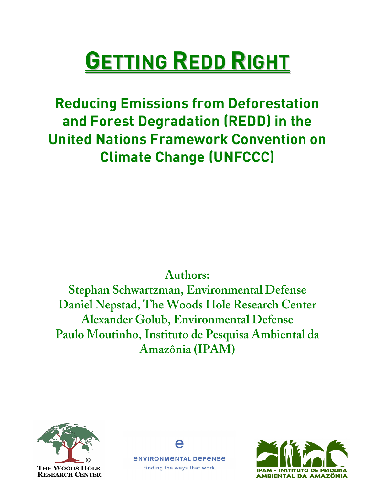# **GETTING REDD RIGHT**

**Reducing Emissions from Deforestation and Forest Degradation (REDD) in the United Nations Framework Convention on Climate Change (UNFCCC)**

# **Authors:**

**Stephan Schwartzman, Environmental Defense Daniel Nepstad, The Woods Hole Research Center Alexander Golub, Environmental Defense Paulo Moutinho, Instituto de Pesquisa Ambiental da Amazônia (IPAM)**





*ENVIRONMENTAL DEFENSE* finding the ways that work

A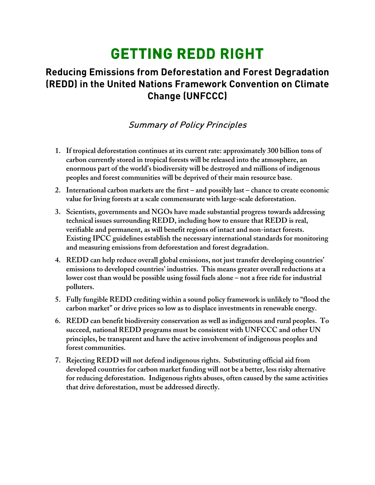# **GETTING REDD RIGHT**

# **Reducing Emissions from Deforestation and Forest Degradation (REDD) in the United Nations Framework Convention on Climate Change (UNFCCC)**

## Summary of Policy Principles

- **1. If tropical deforestation continues at its current rate: approximately 300 billion tons of carbon currently stored in tropical forests will be released into the atmosphere, an enormous part of the world's biodiversity will be destroyed and millions of indigenous peoples and forest communities will be deprived of their main resource base.**
- **2. International carbon markets are the first – and possibly last – chance to create economic value for living forests at a scale commensurate with large-scale deforestation.**
- **3. Scientists, governments and NGOs have made substantial progress towards addressing technical issues surrounding REDD, including how to ensure that REDD is real, verifiable and permanent, as will benefit regions of intact and non-intact forests. Existing IPCC guidelines establish the necessary international standards for monitoring and measuring emissions from deforestation and forest degradation.**
- **4. REDD can help reduce overall global emissions, not just transfer developing countries' emissions to developed countries' industries. This means greater overall reductions at a lower cost than would be possible using fossil fuels alone – not a free ride for industrial polluters.**
- **5. Fully fungible REDD crediting within a sound policy framework is unlikely to "flood the carbon market" or drive prices so low as to displace investments in renewable energy.**
- **6. REDD can benefit biodiversity conservation as well as indigenous and rural peoples. To succeed, national REDD programs must be consistent with UNFCCC and other UN principles, be transparent and have the active involvement of indigenous peoples and forest communities.**
- **7. Rejecting REDD will not defend indigenous rights. Substituting official aid from developed countries for carbon market funding will not be a better, less risky alternative for reducing deforestation. Indigenous rights abuses, often caused by the same activities that drive deforestation, must be addressed directly.**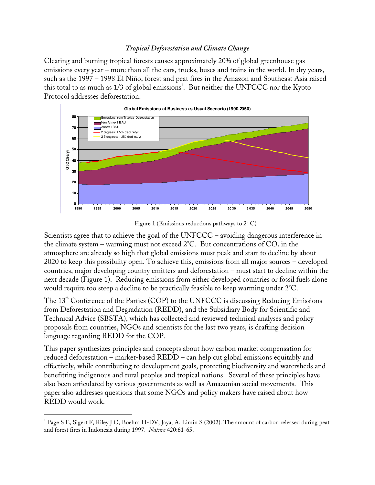#### *Tropical Deforestation and Climate Change*

Clearing and burning tropical forests causes approximately 20% of global greenhouse gas emissions every year – more than all the cars, trucks, buses and trains in the world. In dry years, such as the 1997 – 1998 El Niño, forest and peat fires in the Amazon and Southeast Asia raised this total to as much as 1/3 of global emissions<sup>1</sup>. But neither the UNFCCC nor the Kyoto Protocol addresses deforestation.



Figure 1 (Emissions reductions pathways to 2° C)

Scientists agree that to achieve the goal of the UNFCCC – avoiding dangerous interference in the climate system – warming must not exceed 2°C. But concentrations of  $\mathrm{CO}_2$  in the atmosphere are already so high that global emissions must peak and start to decline by about 2020 to keep this possibility open. To achieve this, emissions from all major sources – developed countries, major developing country emitters and deforestation – must start to decline within the next decade (Figure 1). Reducing emissions from either developed countries or fossil fuels alone would require too steep a decline to be practically feasible to keep warming under 2°C.

The 13<sup>th</sup> Conference of the Parties (COP) to the UNFCCC is discussing Reducing Emissions from Deforestation and Degradation (REDD), and the Subsidiary Body for Scientific and Technical Advice (SBSTA), which has collected and reviewed technical analyses and policy proposals from countries, NGOs and scientists for the last two years, is drafting decision language regarding REDD for the COP.

This paper synthesizes principles and concepts about how carbon market compensation for reduced deforestation – market-based REDD – can help cut global emissions equitably and effectively, while contributing to development goals, protecting biodiversity and watersheds and benefitting indigenous and rural peoples and tropical nations. Several of these principles have also been articulated by various governments as well as Amazonian social movements. This paper also addresses questions that some NGOs and policy makers have raised about how REDD would work.

<sup>-</sup><sup>1</sup> Page S E, Sigert F, Riley J O, Boehm H-DV, Jaya, A, Limin S (2002). The amount of carbon released during peat and forest fires in Indonesia during 1997. *Nature* 420:61-65.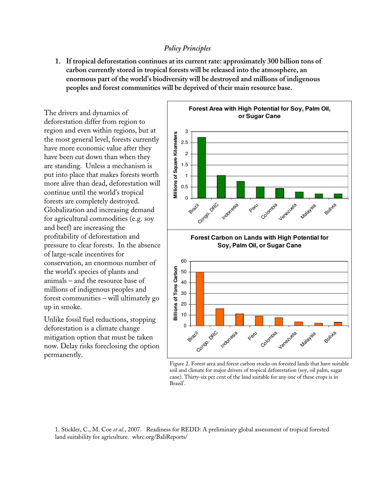#### *Policy Principles*

**1. If tropical deforestation continues at its current rate: approximately 300 billion tons of carbon currently stored in tropical forests will be released into the atmosphere, an enormous part of the world's biodiversity will be destroyed and millions of indigenous peoples and forest communities will be deprived of their main resource base.**

The drivers and dynamics of deforestation differ from region to region and even within regions, but at the most general level, forests currently have more economic value after they have been cut down than when they are standing. Unless a mechanism is put into place that makes forests worth more alive than dead, deforestation will continue until the world's tropical forests are completely destroyed. Globalization and increasing demand for agricultural commodities (e.g. soy and beef) are increasing the profitability of deforestation and pressure to clear forests. In the absence of large-scale incentives for conservation, an enormous number of the world's species of plants and animals – and the resource base of millions of indigenous peoples and forest communities – will ultimately go up in smoke.

Unlike fossil fuel reductions, stopping deforestation is a climate change mitigation option that must be taken now. Delay risks foreclosing the option permanently.



Figure 2. Forest area and forest carbon stocks on forested lands that have suitable soil and climate for major drivers of tropical deforestation (soy, oil palm, sugar cane). Thirty-six per cent of the land suitable for any one of these crops is in Brazil<sup>1</sup>.

1. Stickler, C., M. Coe *et al*., 2007. Readiness for REDD: A preliminary global assessment of tropical forested land suitability for agriculture. whrc.org/BaliReports/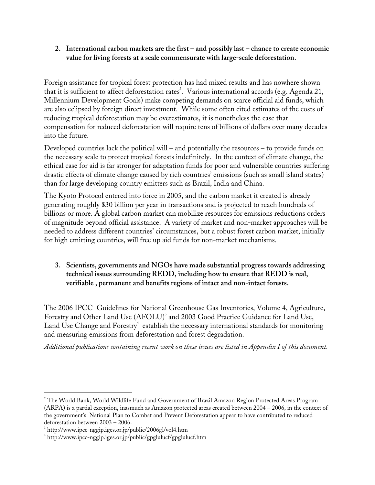**2. International carbon markets are the first – and possibly last – chance to create economic value for living forests at a scale commensurate with large-scale deforestation.**

Foreign assistance for tropical forest protection has had mixed results and has nowhere shown that it is sufficient to affect deforestation rates<sup>2</sup>. Various international accords (e.g. Agenda 21, Millennium Development Goals) make competing demands on scarce official aid funds, which are also eclipsed by foreign direct investment. While some often cited estimates of the costs of reducing tropical deforestation may be overestimates, it is nonetheless the case that compensation for reduced deforestation will require tens of billions of dollars over many decades into the future.

Developed countries lack the political will – and potentially the resources – to provide funds on the necessary scale to protect tropical forests indefinitely. In the context of climate change, the ethical case for aid is far stronger for adaptation funds for poor and vulnerable countries suffering drastic effects of climate change caused by rich countries' emissions (such as small island states) than for large developing country emitters such as Brazil, India and China.

The Kyoto Protocol entered into force in 2005, and the carbon market it created is already generating roughly \$30 billion per year in transactions and is projected to reach hundreds of billions or more. A global carbon market can mobilize resources for emissions reductions orders of magnitude beyond official assistance. A variety of market and non-market approaches will be needed to address different countries' circumstances, but a robust forest carbon market, initially for high emitting countries, will free up aid funds for non-market mechanisms.

**3. Scientists, governments and NGOs have made substantial progress towards addressing technical issues surrounding REDD, including how to ensure that REDD is real, verifiable , permanent and benefits regions of intact and non-intact forests.**

The 2006 IPCC Guidelines for National Greenhouse Gas Inventories, Volume 4, Agriculture, Forestry and Other Land Use (AFOLU) 3 and 2003 Good Practice Guidance for Land Use, Land Use Change and Forestry<sup>4</sup> establish the necessary international standards for monitoring and measuring emissions from deforestation and forest degradation.

*Additional publications containing recent work on these issues are listed in Appendix I of this document.*

 $\overline{a}$ <sup>2</sup> The World Bank, World Wildlife Fund and Government of Brazil Amazon Region Protected Areas Program (ARPA) is a partial exception, inasmuch as Amazon protected areas created between 2004 – 2006, in the context of the government's National Plan to Combat and Prevent Deforestation appear to have contributed to reduced deforestation between 2003 – 2006.

<sup>&</sup>lt;sup>3</sup> http://www.ipcc-nggip.iges.or.jp/public/2006gl/vol4.htm

<sup>4</sup> http://www.ipcc-nggip.iges.or.jp/public/gpglulucf/gpglulucf.htm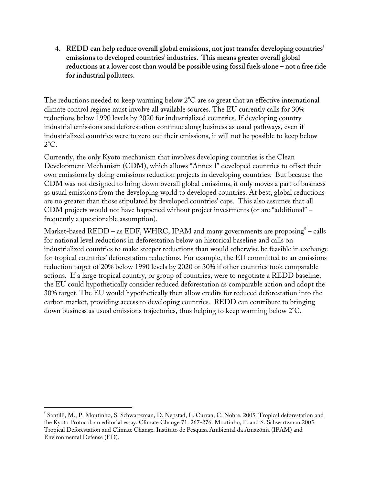**4. REDD can help reduce overall global emissions, not just transfer developing countries' emissions to developed countries' industries. This means greater overall global reductions at a lower cost than would be possible using fossil fuels alone – not a free ride for industrial polluters.**

The reductions needed to keep warming below 2°C are so great that an effective international climate control regime must involve all available sources. The EU currently calls for 30% reductions below 1990 levels by 2020 for industrialized countries. If developing country industrial emissions and deforestation continue along business as usual pathways, even if industrialized countries were to zero out their emissions, it will not be possible to keep below 2°C.

Currently, the only Kyoto mechanism that involves developing countries is the Clean Development Mechanism (CDM), which allows "Annex I" developed countries to offset their own emissions by doing emissions reduction projects in developing countries. But because the CDM was not designed to bring down overall global emissions, it only moves a part of business as usual emissions from the developing world to developed countries. At best, global reductions are no greater than those stipulated by developed countries' caps. This also assumes that all CDM projects would not have happened without project investments (or are "additional" – frequently a questionable assumption).

Market-based REDD – as EDF, WHRC, IPAM and many governments are proposing $^5$  – calls for national level reductions in deforestation below an historical baseline and calls on industrialized countries to make steeper reductions than would otherwise be feasible in exchange for tropical countries' deforestation reductions. For example, the EU committed to an emissions reduction target of 20% below 1990 levels by 2020 or 30% if other countries took comparable actions. If a large tropical country, or group of countries, were to negotiate a REDD baseline, the EU could hypothetically consider reduced deforestation as comparable action and adopt the 30% target. The EU would hypothetically then allow credits for reduced deforestation into the carbon market, providing access to developing countries. REDD can contribute to bringing down business as usual emissions trajectories, thus helping to keep warming below 2°C.

<sup>-</sup>5 Santilli, M., P. Moutinho, S. Schwartzman, D. Nepstad, L. Curran, C. Nobre. 2005. Tropical deforestation and the Kyoto Protocol: an editorial essay. Climate Change 71: 267-276. Moutinho, P. and S. Schwartzman 2005. Tropical Deforestation and Climate Change. Instituto de Pesquisa Ambiental da Amazônia (IPAM) and Environmental Defense (ED).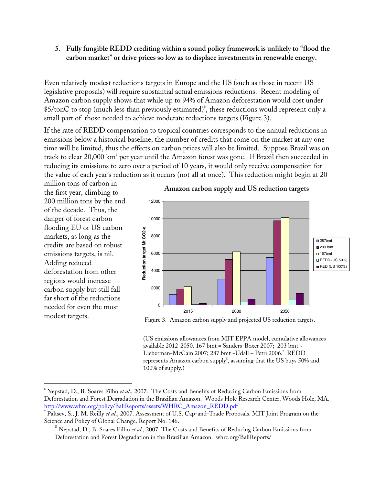**5. Fully fungible REDD crediting within a sound policy framework is unlikely to "flood the carbon market" or drive prices so low as to displace investments in renewable energy.**

Even relatively modest reductions targets in Europe and the US (such as those in recent US legislative proposals) will require substantial actual emissions reductions. Recent modeling of Amazon carbon supply shows that while up to 94% of Amazon deforestation would cost under \$5/tonC to stop (much less than previously estimated) 6 , these reductions would represent only a small part of those needed to achieve moderate reductions targets (Figure 3).

If the rate of REDD compensation to tropical countries corresponds to the annual reductions in emissions below a historical baseline, the number of credits that come on the market at any one time will be limited, thus the effects on carbon prices will also be limited. Suppose Brazil was on track to clear 20,000 km<sup>2</sup> per year until the Amazon forest was gone. If Brazil then succeeded in reducing its emissions to zero over a period of 10 years, it would only receive compensation for the value of each year's reduction as it occurs (not all at once). This reduction might begin at 20

million tons of carbon in the first year, climbing to 200 million tons by the end of the decade. Thus, the danger of forest carbon flooding EU or US carbon markets, as long as the credits are based on robust emissions targets, is nil. Adding reduced deforestation from other regions would increase carbon supply but still fall far short of the reductions needed for even the most modest targets.

-



#### **Amazon carbon supply and US reduction targets**

Figure 3. Amazon carbon supply and projected US reduction targets.

(US emissions allowances from MIT EPPA model, cumulative allowances available 2012-2050. 167 bmt = Sanders-Boxer 2007; 203 bmt ~ Lieberman-McCain 2007; 287 bmt ~Udall – Petri 2006. <sup>7</sup> REDD represents Amazon carbon supply $^{\textrm{s}}$ , assuming that the US buys 50% and 100% of supply.)

<sup>6</sup> Nepstad, D., B. Soares Filho *et al*., 2007. The Costs and Benefits of Reducing Carbon Emissions from Deforestation and Forest Degradation in the Brazilian Amazon. Woods Hole Research Center, Woods Hole, MA. http://www.whrc.org/policy/BaliReports/assets/WHRC\_Amazon\_REDD.pdf

<sup>7</sup> Paltsev, S., J. M. Reilly *et al*., 2007. Assessment of U.S. Cap-and-Trade Proposals. MIT Joint Program on the Science and Policy of Global Change. Report No. 146.

 $^8$  Nepstad, D., B. Soares Filho *et al*., 2007. The Costs and Benefits of Reducing Carbon Emissions from Deforestation and Forest Degradation in the Brazilian Amazon. whrc.org/BaliReports/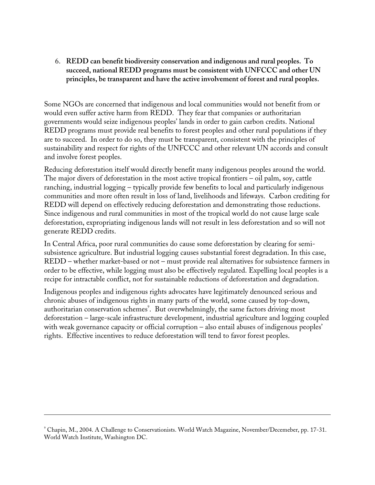6. **REDD can benefit biodiversity conservation and indigenous and rural peoples. To succeed, national REDD programs must be consistent with UNFCCC and other UN principles, be transparent and have the active involvement of forest and rural peoples.**

Some NGOs are concerned that indigenous and local communities would not benefit from or would even suffer active harm from REDD. They fear that companies or authoritarian governments would seize indigenous peoples' lands in order to gain carbon credits. National REDD programs must provide real benefits to forest peoples and other rural populations if they are to succeed. In order to do so, they must be transparent, consistent with the principles of sustainability and respect for rights of the UNFCCC and other relevant UN accords and consult and involve forest peoples.

Reducing deforestation itself would directly benefit many indigenous peoples around the world. The major divers of deforestation in the most active tropical frontiers – oil palm, soy, cattle ranching, industrial logging – typically provide few benefits to local and particularly indigenous communities and more often result in loss of land, livelihoods and lifeways. Carbon crediting for REDD will depend on effectively reducing deforestation and demonstrating those reductions. Since indigenous and rural communities in most of the tropical world do not cause large scale deforestation, expropriating indigenous lands will not result in less deforestation and so will not generate REDD credits.

In Central Africa, poor rural communities do cause some deforestation by clearing for semisubsistence agriculture. But industrial logging causes substantial forest degradation. In this case, REDD – whether market-based or not – must provide real alternatives for subsistence farmers in order to be effective, while logging must also be effectively regulated. Expelling local peoples is a recipe for intractable conflict, not for sustainable reductions of deforestation and degradation.

Indigenous peoples and indigenous rights advocates have legitimately denounced serious and chronic abuses of indigenous rights in many parts of the world, some caused by top-down, authoritarian conservation schemes<sup>2</sup>. But overwhelmingly, the same factors driving most deforestation – large-scale infrastructure development, industrial agriculture and logging coupled with weak governance capacity or official corruption – also entail abuses of indigenous peoples' rights. Effective incentives to reduce deforestation will tend to favor forest peoples.

-

<sup>9</sup> Chapin, M., 2004. A Challenge to Conservationists. World Watch Magazine, November/Decemeber, pp. 17-31. World Watch Institute, Washington DC.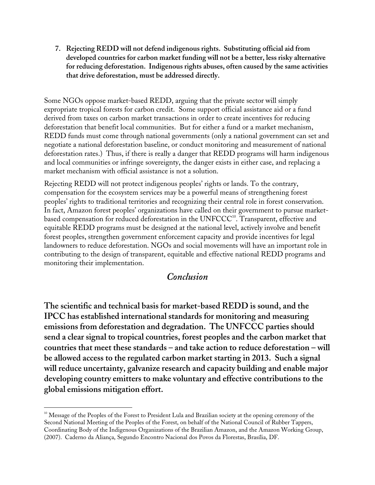**7. Rejecting REDD will not defend indigenous rights. Substituting official aid from developed countries for carbon market funding will not be a better, less risky alternative for reducing deforestation. Indigenous rights abuses, often caused by the same activities that drive deforestation, must be addressed directly.**

Some NGOs oppose market-based REDD, arguing that the private sector will simply expropriate tropical forests for carbon credit. Some support official assistance aid or a fund derived from taxes on carbon market transactions in order to create incentives for reducing deforestation that benefit local communities. But for either a fund or a market mechanism, REDD funds must come through national governments (only a national government can set and negotiate a national deforestation baseline, or conduct monitoring and measurement of national deforestation rates.) Thus, if there is really a danger that REDD programs will harm indigenous and local communities or infringe sovereignty, the danger exists in either case, and replacing a market mechanism with official assistance is not a solution.

Rejecting REDD will not protect indigenous peoples' rights or lands. To the contrary, compensation for the ecosystem services may be a powerful means of strengthening forest peoples' rights to traditional territories and recognizing their central role in forest conservation. In fact, Amazon forest peoples' organizations have called on their government to pursue marketbased compensation for reduced deforestation in the  $\mathrm{UNFCCC}^{\scriptscriptstyle{0}}$ . Transparent, effective and equitable REDD programs must be designed at the national level, actively involve and benefit forest peoples, strengthen government enforcement capacity and provide incentives for legal landowners to reduce deforestation. NGOs and social movements will have an important role in contributing to the design of transparent, equitable and effective national REDD programs and monitoring their implementation.

#### *Conclusion*

**The scientific and technical basis for market-based REDD is sound, and the IPCC has established international standards for monitoring and measuring emissions from deforestation and degradation. The UNFCCC parties should send a clear signal to tropical countries, forest peoples and the carbon market that countries that meet these standards – and take action to reduce deforestation – will be allowed access to the regulated carbon market starting in 2013. Such a signal will reduce uncertainty, galvanize research and capacity building and enable major developing country emitters to make voluntary and effective contributions to the global emissions mitigation effort.**

-

<sup>&</sup>lt;sup>10</sup> Message of the Peoples of the Forest to President Lula and Brazilian society at the opening ceremony of the Second National Meeting of the Peoples of the Forest, on behalf of the National Council of Rubber Tappers, Coordinating Body of the Indigenous Organizations of the Brazilian Amazon, and the Amazon Working Group, (2007). Caderno da Aliança, Segundo Encontro Nacional dos Povos da Florestas, Brasília, DF.